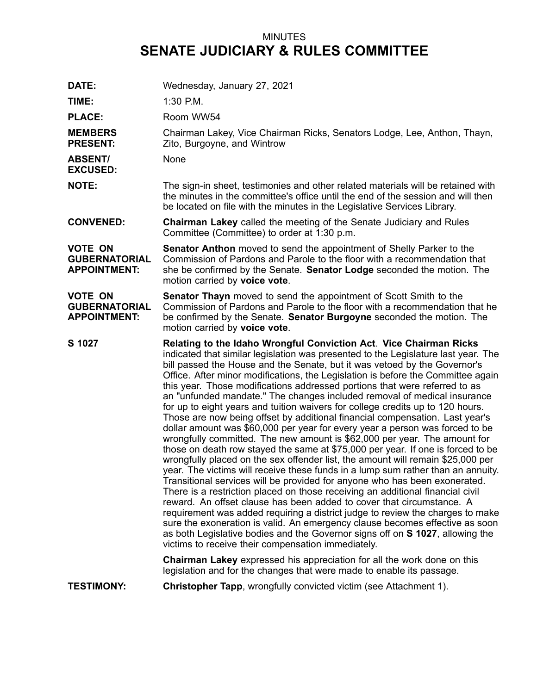## MINUTES **SENATE JUDICIARY & RULES COMMITTEE**

| DATE:                                                         | Wednesday, January 27, 2021                                                                                                                                                                                                                                                                                                                                                                                                                                                                                                                                                                                                                                                                                                                                                                                                                                                                                                                                                                                                                                                                                                                                                                                                                                                                                                                                                                                                                                                                                                                                                                                                    |
|---------------------------------------------------------------|--------------------------------------------------------------------------------------------------------------------------------------------------------------------------------------------------------------------------------------------------------------------------------------------------------------------------------------------------------------------------------------------------------------------------------------------------------------------------------------------------------------------------------------------------------------------------------------------------------------------------------------------------------------------------------------------------------------------------------------------------------------------------------------------------------------------------------------------------------------------------------------------------------------------------------------------------------------------------------------------------------------------------------------------------------------------------------------------------------------------------------------------------------------------------------------------------------------------------------------------------------------------------------------------------------------------------------------------------------------------------------------------------------------------------------------------------------------------------------------------------------------------------------------------------------------------------------------------------------------------------------|
| TIME:                                                         | $1:30$ P.M.                                                                                                                                                                                                                                                                                                                                                                                                                                                                                                                                                                                                                                                                                                                                                                                                                                                                                                                                                                                                                                                                                                                                                                                                                                                                                                                                                                                                                                                                                                                                                                                                                    |
| <b>PLACE:</b>                                                 | Room WW54                                                                                                                                                                                                                                                                                                                                                                                                                                                                                                                                                                                                                                                                                                                                                                                                                                                                                                                                                                                                                                                                                                                                                                                                                                                                                                                                                                                                                                                                                                                                                                                                                      |
| <b>MEMBERS</b><br><b>PRESENT:</b>                             | Chairman Lakey, Vice Chairman Ricks, Senators Lodge, Lee, Anthon, Thayn,<br>Zito, Burgoyne, and Wintrow                                                                                                                                                                                                                                                                                                                                                                                                                                                                                                                                                                                                                                                                                                                                                                                                                                                                                                                                                                                                                                                                                                                                                                                                                                                                                                                                                                                                                                                                                                                        |
| <b>ABSENT/</b><br><b>EXCUSED:</b>                             | None                                                                                                                                                                                                                                                                                                                                                                                                                                                                                                                                                                                                                                                                                                                                                                                                                                                                                                                                                                                                                                                                                                                                                                                                                                                                                                                                                                                                                                                                                                                                                                                                                           |
| <b>NOTE:</b>                                                  | The sign-in sheet, testimonies and other related materials will be retained with<br>the minutes in the committee's office until the end of the session and will then<br>be located on file with the minutes in the Legislative Services Library.                                                                                                                                                                                                                                                                                                                                                                                                                                                                                                                                                                                                                                                                                                                                                                                                                                                                                                                                                                                                                                                                                                                                                                                                                                                                                                                                                                               |
| <b>CONVENED:</b>                                              | <b>Chairman Lakey</b> called the meeting of the Senate Judiciary and Rules<br>Committee (Committee) to order at 1:30 p.m.                                                                                                                                                                                                                                                                                                                                                                                                                                                                                                                                                                                                                                                                                                                                                                                                                                                                                                                                                                                                                                                                                                                                                                                                                                                                                                                                                                                                                                                                                                      |
| <b>VOTE ON</b><br><b>GUBERNATORIAL</b><br><b>APPOINTMENT:</b> | Senator Anthon moved to send the appointment of Shelly Parker to the<br>Commission of Pardons and Parole to the floor with a recommendation that<br>she be confirmed by the Senate. Senator Lodge seconded the motion. The<br>motion carried by voice vote.                                                                                                                                                                                                                                                                                                                                                                                                                                                                                                                                                                                                                                                                                                                                                                                                                                                                                                                                                                                                                                                                                                                                                                                                                                                                                                                                                                    |
| <b>VOTE ON</b><br><b>GUBERNATORIAL</b><br><b>APPOINTMENT:</b> | <b>Senator Thayn</b> moved to send the appointment of Scott Smith to the<br>Commission of Pardons and Parole to the floor with a recommendation that he<br>be confirmed by the Senate. Senator Burgoyne seconded the motion. The<br>motion carried by voice vote.                                                                                                                                                                                                                                                                                                                                                                                                                                                                                                                                                                                                                                                                                                                                                                                                                                                                                                                                                                                                                                                                                                                                                                                                                                                                                                                                                              |
| S 1027                                                        | Relating to the Idaho Wrongful Conviction Act. Vice Chairman Ricks<br>indicated that similar legislation was presented to the Legislature last year. The<br>bill passed the House and the Senate, but it was vetoed by the Governor's<br>Office. After minor modifications, the Legislation is before the Committee again<br>this year. Those modifications addressed portions that were referred to as<br>an "unfunded mandate." The changes included removal of medical insurance<br>for up to eight years and tuition waivers for college credits up to 120 hours.<br>Those are now being offset by additional financial compensation. Last year's<br>dollar amount was \$60,000 per year for every year a person was forced to be<br>wrongfully committed. The new amount is \$62,000 per year. The amount for<br>those on death row stayed the same at \$75,000 per year. If one is forced to be<br>wrongfully placed on the sex offender list, the amount will remain \$25,000 per<br>year. The victims will receive these funds in a lump sum rather than an annuity.<br>Transitional services will be provided for anyone who has been exonerated.<br>There is a restriction placed on those receiving an additional financial civil<br>reward. An offset clause has been added to cover that circumstance. A<br>requirement was added requiring a district judge to review the charges to make<br>sure the exoneration is valid. An emergency clause becomes effective as soon<br>as both Legislative bodies and the Governor signs off on S 1027, allowing the<br>victims to receive their compensation immediately. |
|                                                               | <b>Chairman Lakey</b> expressed his appreciation for all the work done on this<br>legislation and for the changes that were made to enable its passage.                                                                                                                                                                                                                                                                                                                                                                                                                                                                                                                                                                                                                                                                                                                                                                                                                                                                                                                                                                                                                                                                                                                                                                                                                                                                                                                                                                                                                                                                        |
| <b>TESTIMONY:</b>                                             | <b>Christopher Tapp, wrongfully convicted victim (see Attachment 1).</b>                                                                                                                                                                                                                                                                                                                                                                                                                                                                                                                                                                                                                                                                                                                                                                                                                                                                                                                                                                                                                                                                                                                                                                                                                                                                                                                                                                                                                                                                                                                                                       |